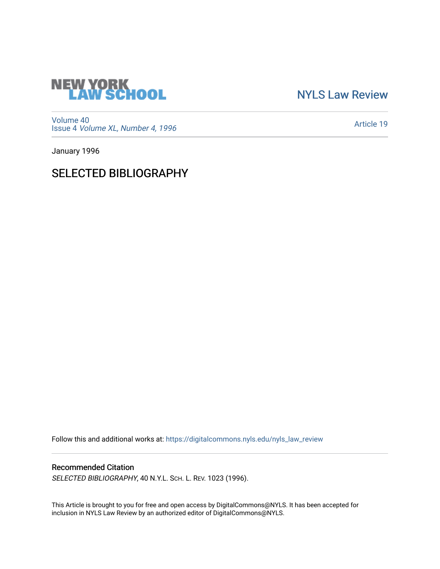

[NYLS Law Review](https://digitalcommons.nyls.edu/nyls_law_review) 

[Volume 40](https://digitalcommons.nyls.edu/nyls_law_review/vol40) Issue 4 [Volume XL, Number 4, 1996](https://digitalcommons.nyls.edu/nyls_law_review/vol40/iss4)

[Article 19](https://digitalcommons.nyls.edu/nyls_law_review/vol40/iss4/19) 

January 1996

## SELECTED BIBLIOGRAPHY

Follow this and additional works at: [https://digitalcommons.nyls.edu/nyls\\_law\\_review](https://digitalcommons.nyls.edu/nyls_law_review?utm_source=digitalcommons.nyls.edu%2Fnyls_law_review%2Fvol40%2Fiss4%2F19&utm_medium=PDF&utm_campaign=PDFCoverPages) 

## Recommended Citation

SELECTED BIBLIOGRAPHY, 40 N.Y.L. SCH. L. REV. 1023 (1996).

This Article is brought to you for free and open access by DigitalCommons@NYLS. It has been accepted for inclusion in NYLS Law Review by an authorized editor of DigitalCommons@NYLS.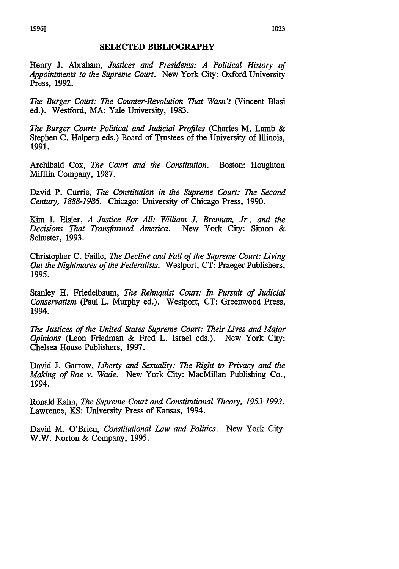## **SELECTED BIBLIOGRAPHY**

Henry **J.** Abraham, *Justices and Presidents: A Political History of Appointments to the Supreme Court.* New York City: Oxford University Press, 1992.

*The Burger Court: The Counter-Revolution That Wasn't* (Vincent Blasi ed.). Westford, MA: Yale University, 1983.

*The Burger Court: Political and Judicial Profiles* (Charles M. Lamb & Stephen C. Halpern eds.) Board of Trustees of the University of Illinois, 1991.

Archibald Cox, *The Court and the Constitution.* Boston: Houghton Mifflin Company, 1987.

David P. Currie, *The Constitution in the Supreme Court: The Second Century, 1888-1986.* Chicago: University of Chicago Press, 1990.

Kim I. Eisler, *A Justice For All: William J. Brennan, Jr., and the Decisions That Transformed America.* New York City: Simon & Schuster, 1993.

Christopher C. Faille, *The Decline and Fall of the Supreme Court: Living Out the Nightmares of the Federalists.* Westport, CT: Praeger Publishers, 1995.

Stanley H. Friedelbaum, *The Rehnquist Court: In Pursuit of Judicial Conservatism* (Paul L. Murphy ed.). Westport, CT: Greenwood Press, 1994.

*The Justices of the United States Supreme Court: Their Lives and Major Opinions* (Leon Friedman & Fred L. Israel eds.). New York City: Chelsea House Publishers, 1997.

David **J.** Garrow, *Liberty and Sexuality: The Right to Privacy and the Making of Roe v. Wade.* New York City: MacMillan Publishing Co., 1994.

Ronald Kahn, *The Supreme Court and Constitutional Theory, 1953-1993.* Lawrence, KS: University Press of Kansas, 1994.

David M. O'Brien, *Constitutional Law and Politics.* New York City: W.W. Norton & Company, 1995.